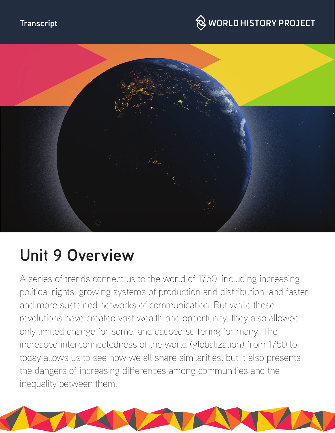

# $\hspace{0.1cm}\otimes\hspace{0.1cm}$  WORLD HISTORY PROJECT



# **Unit 9 Overview**

A series of trends connect us to the world of 1750, including increasing political rights, growing systems of production and distribution, and faster and more sustained networks of communication. But while these revolutions have created vast wealth and opportunity, they also allowed only limited change for some, and caused suffering for many. The increased interconnectedness of the world (globalization) from 1750 to today allows us to see how we all share similarities, but it also presents the dangers of increasing differences among communities and the inequality between them.

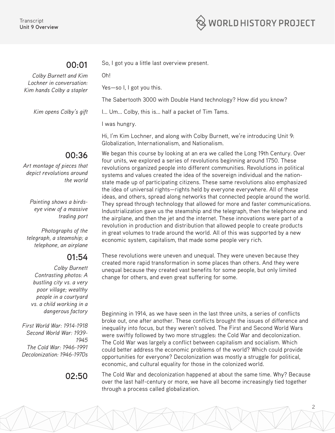

# **00:01**

*Colby Burnett and Kim Lochner in conversation: Kim hands Colby a stapler*

*Kim opens Colby's gift*

Yes—so I, I got you this.

The Sabertooth 3000 with Double Hand technology? How did you know?

I... Um... Colby, this is... half a packet of Tim Tams.

So, I got you a little last overview present.

I was hungry.

Oh!

Hi, I'm Kim Lochner, and along with Colby Burnett, we're introducing Unit 9: Globalization, Internationalism, and Nationalism.

# **00:36**

*Art montage of pieces that depict revolutions around the world*

> *Painting shows a birdseye view of a massive trading port*

*Photographs of the telegraph, a steamship; a telephone, an airplane*

# **01:54**

*Colby Burnett Contrasting photos: A bustling city vs. a very poor village; wealthy people in a courtyard vs. a child working in a dangerous factory*

*First World War: 1914-1918 Second World War: 1939- 1945 The Cold War: 1946-1991 Decolonization: 1946-1970s*

We began this course by looking at an era we called the Long 19th Century. Over four units, we explored a series of revolutions beginning around 1750. These revolutions organized people into different communities. Revolutions in political systems and values created the idea of the sovereign individual and the nationstate made up of participating citizens. These same revolutions also emphasized the idea of universal rights—rights held by everyone everywhere. All of these ideas, and others, spread along networks that connected people around the world. They spread through technology that allowed for more and faster communications. Industrialization gave us the steamship and the telegraph, then the telephone and the airplane, and then the jet and the internet. These innovations were part of a revolution in production and distribution that allowed people to create products in great volumes to trade around the world. All of this was supported by a new economic system, capitalism, that made some people very rich.

These revolutions were uneven and unequal. They were uneven because they created more rapid transformation in some places than others. And they were unequal because they created vast benefits for some people, but only limited change for others, and even great suffering for some.

Beginning in 1914, as we have seen in the last three units, a series of conflicts broke out, one after another. These conflicts brought the issues of difference and inequality into focus, but they weren't solved. The First and Second World Wars were swiftly followed by two more struggles: the Cold War and decolonization. The Cold War was largely a conflict between capitalism and socialism. Which could better address the economic problems of the world? Which could provide opportunities for everyone? Decolonization was mostly a struggle for political, economic, and cultural equality for those in the colonized world.

**02:50** The Cold War and decolonization happened at about the same time. Why? Because over the last half-century or more, we have all become increasingly tied together through a process called globalization.

2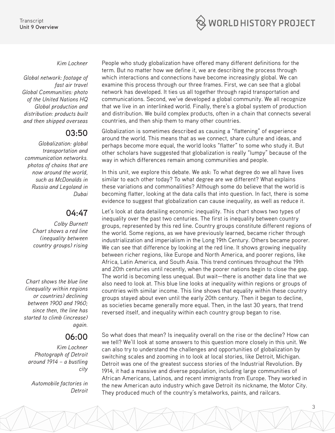

### *Kim Lochner*

*Global network: footage of fast air travel Global Communities: photo of the United Nations HQ Global production and distribution: products built and then shipped overseas*

### **03:50**

*Globalization: global transportation and communication networks. photos of chains that are now around the world, such as McDonalds in Russia and Legoland in Dubai*

# **04:47**

*Colby Burnett Chart shows a red line (inequality between country groups) rising*

*Chart shows the blue line (inequality within regions or countries) declining between 1900 and 1960; since then, the line has started to climb (increase) again.*

# **06:00**

*Kim Lochner Photograph of Detroit around 1914 – a bustling city*

*Automobile factories in Detroit* People who study globalization have offered many different definitions for the term. But no matter how we define it, we are describing the process through which interactions and connections have become increasingly global. We can examine this process through our three frames. First, we can see that a global network has developed. It ties us all together through rapid transportation and communications. Second, we've developed a global community. We all recognize that we live in an interlinked world. Finally, there's a global system of production and distribution. We build complex products, often in a chain that connects several countries, and then ship them to many other countries.

Globalization is sometimes described as causing a "flattening" of experience around the world. This means that as we connect, share culture and ideas, and perhaps become more equal, the world looks "flatter" to some who study it. But other scholars have suggested that globalization is really "lumpy" because of the way in which differences remain among communities and people.

In this unit, we explore this debate. We ask: To what degree do we all have lives similar to each other today? To what degree are we different? What explains these variations and commonalities? Although some do believe that the world is becoming flatter, looking at the data calls that into question. In fact, there is some evidence to suggest that globalization can cause inequality, as well as reduce it.

Let's look at data detailing economic inequality. This chart shows two types of inequality over the past two centuries. The first is inequality between country groups, represented by this red line. Country groups constitute different regions of the world. Some regions, as we have previously learned, became richer through industrialization and imperialism in the Long 19th Century. Others became poorer. We can see that difference by looking at the red line. It shows growing inequality between richer regions, like Europe and North America, and poorer regions, like Africa, Latin America, and South Asia. This trend continues throughout the 19th and 20th centuries until recently, when the poorer nations begin to close the gap. The world is becoming less unequal. But wait—there is another data line that we also need to look at. This blue line looks at inequality within regions or groups of countries with similar income. This line shows that equality within these country groups stayed about even until the early 20th century. Then it began to decline, as societies became generally more equal. Then, in the last 30 years, that trend reversed itself, and inequality within each country group began to rise.

So what does that mean? Is inequality overall on the rise or the decline? How can we tell? We'll look at some answers to this question more closely in this unit. We can also try to understand the challenges and opportunities of globalization by switching scales and zooming in to look at local stories, like Detroit, Michigan. Detroit was one of the greatest success stories of the Industrial Revolution. By 1914, it had a massive and diverse population, including large communities of African Americans, Latinos, and recent immigrants from Europe. They worked in the new American auto industry which gave Detroit its nickname, the Motor City. They produced much of the country's metalworks, paints, and railcars.

3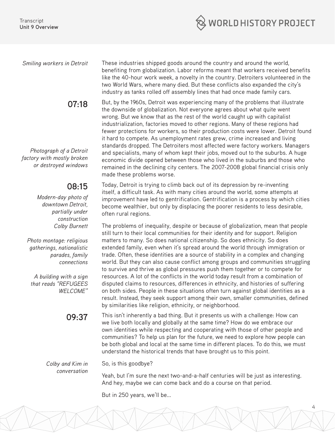

## **07:18**

*Photograph of a Detroit factory with mostly broken or destroyed windows*

# **08:15**

*Modern-day photo of downtown Detroit, partially under construction Colby Burnett* 

*Photo montage: religious gatherings, nationalistic parades, family connections*

*A building with a sign that reads "REFUGEES WELCOME"*

**09:37** 

*Smiling workers in Detroit* These industries shipped goods around the country and around the world, benefiting from globalization. Labor reforms meant that workers received benefits like the 40-hour work week, a novelty in the country. Detroiters volunteered in the two World Wars, where many died. But these conflicts also expanded the city's industry as tanks rolled off assembly lines that had once made family cars.

> But, by the 1960s, Detroit was experiencing many of the problems that illustrate the downside of globalization. Not everyone agrees about what quite went wrong. But we know that as the rest of the world caught up with capitalist industrialization, factories moved to other regions. Many of these regions had fewer protections for workers, so their production costs were lower. Detroit found it hard to compete. As unemployment rates grew, crime increased and living standards dropped. The Detroiters most affected were factory workers. Managers and specialists, many of whom kept their jobs, moved out to the suburbs. A huge economic divide opened between those who lived in the suburbs and those who remained in the declining city centers. The 2007-2008 global financial crisis only made these problems worse.

Today, Detroit is trying to climb back out of its depression by re-inventing itself, a difficult task. As with many cities around the world, some attempts at improvement have led to gentrification. Gentrification is a process by which cities become wealthier, but only by displacing the poorer residents to less desirable, often rural regions.

The problems of inequality, despite or because of globalization, mean that people still turn to their local communities for their identity and for support. Religion matters to many. So does national citizenship. So does ethnicity. So does extended family, even when it's spread around the world through immigration or trade. Often, these identities are a source of stability in a complex and changing world. But they can also cause conflict among groups and communities struggling to survive and thrive as global pressures push them together or to compete for resources. A lot of the conflicts in the world today result from a combination of disputed claims to resources, differences in ethnicity, and histories of suffering on both sides. People in these situations often turn against global identities as a result. Instead, they seek support among their own, smaller communities, defined by similarities like religion, ethnicity, or neighborhood.

This isn't inherently a bad thing. But it presents us with a challenge: How can we live both locally and globally at the same time? How do we embrace our own identities while respecting and cooperating with those of other people and communities? To help us plan for the future, we need to explore how people can be both global and local at the same time in different places. To do this, we must understand the historical trends that have brought us to this point.

*Colby and Kim in conversation*

So, is this goodbye?

Yeah, but I'm sure the next two-and-a-half centuries will be just as interesting. And hey, maybe we can come back and do a course on that period.

4

But in 250 years, we'll be...